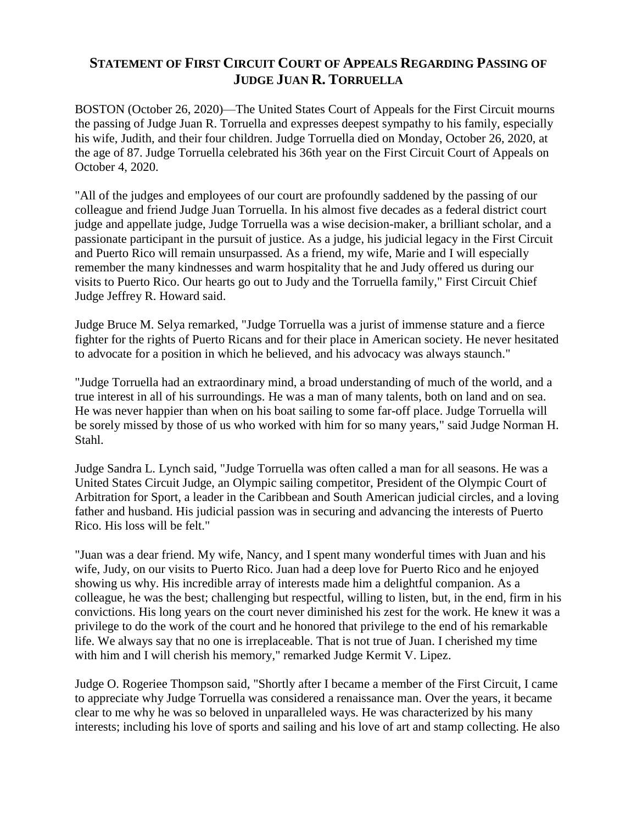## **STATEMENT OF FIRST CIRCUIT COURT OF APPEALS REGARDING PASSING OF JUDGE JUAN R. TORRUELLA**

BOSTON (October 26, 2020)—The United States Court of Appeals for the First Circuit mourns the passing of Judge Juan R. Torruella and expresses deepest sympathy to his family, especially his wife, Judith, and their four children. Judge Torruella died on Monday, October 26, 2020, at the age of 87. Judge Torruella celebrated his 36th year on the First Circuit Court of Appeals on October 4, 2020.

"All of the judges and employees of our court are profoundly saddened by the passing of our colleague and friend Judge Juan Torruella. In his almost five decades as a federal district court judge and appellate judge, Judge Torruella was a wise decision-maker, a brilliant scholar, and a passionate participant in the pursuit of justice. As a judge, his judicial legacy in the First Circuit and Puerto Rico will remain unsurpassed. As a friend, my wife, Marie and I will especially remember the many kindnesses and warm hospitality that he and Judy offered us during our visits to Puerto Rico. Our hearts go out to Judy and the Torruella family," First Circuit Chief Judge Jeffrey R. Howard said.

Judge Bruce M. Selya remarked, "Judge Torruella was a jurist of immense stature and a fierce fighter for the rights of Puerto Ricans and for their place in American society. He never hesitated to advocate for a position in which he believed, and his advocacy was always staunch."

"Judge Torruella had an extraordinary mind, a broad understanding of much of the world, and a true interest in all of his surroundings. He was a man of many talents, both on land and on sea. He was never happier than when on his boat sailing to some far-off place. Judge Torruella will be sorely missed by those of us who worked with him for so many years," said Judge Norman H. Stahl.

Judge Sandra L. Lynch said, "Judge Torruella was often called a man for all seasons. He was a United States Circuit Judge, an Olympic sailing competitor, President of the Olympic Court of Arbitration for Sport, a leader in the Caribbean and South American judicial circles, and a loving father and husband. His judicial passion was in securing and advancing the interests of Puerto Rico. His loss will be felt."

"Juan was a dear friend. My wife, Nancy, and I spent many wonderful times with Juan and his wife, Judy, on our visits to Puerto Rico. Juan had a deep love for Puerto Rico and he enjoyed showing us why. His incredible array of interests made him a delightful companion. As a colleague, he was the best; challenging but respectful, willing to listen, but, in the end, firm in his convictions. His long years on the court never diminished his zest for the work. He knew it was a privilege to do the work of the court and he honored that privilege to the end of his remarkable life. We always say that no one is irreplaceable. That is not true of Juan. I cherished my time with him and I will cherish his memory," remarked Judge Kermit V. Lipez.

Judge O. Rogeriee Thompson said, "Shortly after I became a member of the First Circuit, I came to appreciate why Judge Torruella was considered a renaissance man. Over the years, it became clear to me why he was so beloved in unparalleled ways. He was characterized by his many interests; including his love of sports and sailing and his love of art and stamp collecting. He also